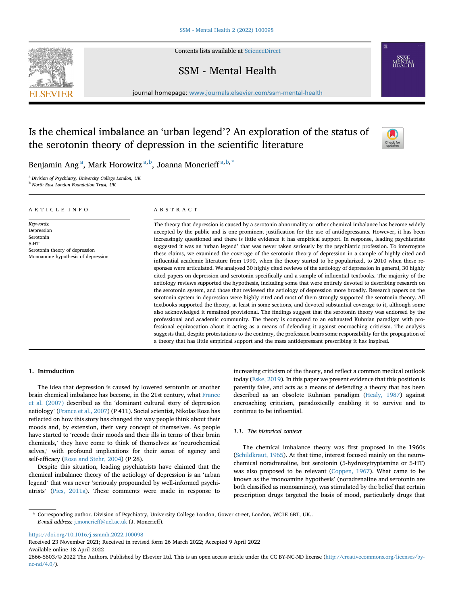Contents lists available at [ScienceDirect](www.sciencedirect.com/science/journal/26665603)

# SSM - Mental Health

journal homepage: <www.journals.elsevier.com/ssm-mental-health>



Is the chemical imbalance an 'urban legend'? An exploration of the status of the serotonin theory of depression in the scientific literature

Benj[a](#page-0-0)min Ang<sup>a</sup>, Mark Horowitz<sup>a, [b](#page-0-1)</sup>, Joanna Moncrieff<sup>a, [b,](#page-0-1) [\\*](#page-0-2)</sup>

<span id="page-0-0"></span><sup>a</sup> Division of Psychiatry, University College London, UK

<span id="page-0-1"></span>**b** North East London Foundation Trust, UK

#### ARTICLE INFO

Keywords: Depression Serotonin 5-HT Serotonin theory of depression Monoamine hypothesis of depression

#### ABSTRACT

The theory that depression is caused by a serotonin abnormality or other chemical imbalance has become widely accepted by the public and is one prominent justification for the use of antidepressants. However, it has been increasingly questioned and there is little evidence it has empirical support. In response, leading psychiatrists suggested it was an 'urban legend' that was never taken seriously by the psychiatric profession. To interrogate these claims, we examined the coverage of the serotonin theory of depression in a sample of highly cited and influential academic literature from 1990, when the theory started to be popularized, to 2010 when these responses were articulated. We analysed 30 highly cited reviews of the aetiology of depression in general, 30 highly cited papers on depression and serotonin specifically and a sample of influential textbooks. The majority of the aetiology reviews supported the hypothesis, including some that were entirely devoted to describing research on the serotonin system, and those that reviewed the aetiology of depression more broadly. Research papers on the serotonin system in depression were highly cited and most of them strongly supported the serotonin theory. All textbooks supported the theory, at least in some sections, and devoted substantial coverage to it, although some also acknowledged it remained provisional. The findings suggest that the serotonin theory was endorsed by the professional and academic community. The theory is compared to an exhausted Kuhnian paradigm with professional equivocation about it acting as a means of defending it against encroaching criticism. The analysis suggests that, despite protestations to the contrary, the profession bears some responsibility for the propagation of a theory that has little empirical support and the mass antidepressant prescribing it has inspired.

# 1. Introduction

The idea that depression is caused by lowered serotonin or another brain chemical imbalance has become, in the 21st century, what [France](#page-7-0) [et al. \(2007\)](#page-7-0) described as the 'dominant cultural story of depression aetiology' [\(France et al., 2007\)](#page-7-0) (P 411). Social scientist, Nikolas Rose has reflected on how this story has changed the way people think about their moods and, by extension, their very concept of themselves. As people have started to 'recode their moods and their ills in terms of their brain chemicals,' they have come to think of themselves as 'neurochemical selves,' with profound implications for their sense of agency and self-efficacy [\(Rose and Stehr, 2004](#page-8-0)) (P 28).

Despite this situation, leading psychiatrists have claimed that the chemical imbalance theory of the aetiology of depression is an 'urban legend' that was never 'seriously propounded by well-informed psychiatrists' [\(Pies, 2011a](#page-7-1)). These comments were made in response to increasing criticism of the theory, and reflect a common medical outlook today ([Eske, 2019\)](#page-7-2). In this paper we present evidence that this position is patently false, and acts as a means of defending a theory that has been described as an obsolete Kuhnian paradigm ([Healy, 1987\)](#page-7-3) against encroaching criticism, paradoxically enabling it to survive and to continue to be influential.

# 1.1. The historical context

The chemical imbalance theory was first proposed in the 1960s ([Schildkraut, 1965\)](#page-8-1). At that time, interest focused mainly on the neurochemical noradrenaline, but serotonin (5-hydroxytryptamine or 5-HT) was also proposed to be relevant [\(Coppen, 1967](#page-7-4)). What came to be known as the 'monoamine hypothesis' (noradrenaline and serotonin are both classified as monoamines), was stimulated by the belief that certain prescription drugs targeted the basis of mood, particularly drugs that

<https://doi.org/10.1016/j.ssmmh.2022.100098>

Received 23 November 2021; Received in revised form 26 March 2022; Accepted 9 April 2022 Available online 18 April 2022

<span id="page-0-2"></span><sup>\*</sup> Corresponding author. Division of Psychiatry, University College London, Gower street, London, WC1E 6BT, UK.. E-mail address: [j.moncrieff@ucl.ac.uk](mailto:j.moncrieff@ucl.ac.uk) (J. Moncrieff).

<sup>2666-5603/</sup>© 2022 The Authors. Published by Elsevier Ltd. This is an open access article under the CC BY-NC-ND license [\(http://creativecommons.org/licenses/by](http://creativecommons.org/licenses/by-nc-nd/4.0/)[nc-nd/4.0/](http://creativecommons.org/licenses/by-nc-nd/4.0/)).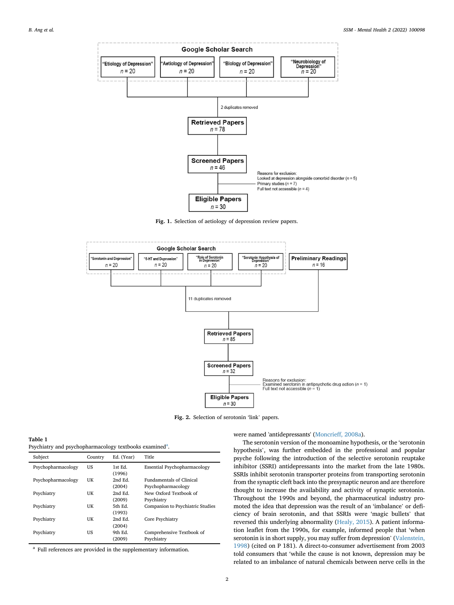<span id="page-1-1"></span>

Fig. 1. Selection of aetiology of depression review papers.

<span id="page-1-3"></span>

Fig. 2. Selection of serotonin 'link' papers.

<span id="page-1-2"></span>

| Table 1                                                             |
|---------------------------------------------------------------------|
| Psychiatry and psychopharmacology textbooks examined <sup>a</sup> . |

| Subject            | Country | Ed. (Year)       | Title                               |
|--------------------|---------|------------------|-------------------------------------|
| Psychopharmacology | US      | 1st Ed<br>(1996) | <b>Essential Psychopharmacology</b> |
| Psychopharmacology | UK      | 2nd Ed.          | <b>Fundamentals of Clinical</b>     |
|                    |         | (2004)           | Psychopharmacology                  |
| Psychiatry         | UK      | 2nd Ed.          | New Oxford Textbook of              |
|                    |         | (2009)           | Psychiatry                          |
| Psychiatry         | UK      | 5th Ed.          | Companion to Psychiatric Studies    |
|                    |         | (1993)           |                                     |
| Psychiatry         | UK      | 2nd Ed.          | Core Psychiatry                     |
|                    |         | (2004)           |                                     |
| Psychiatry         | US      | 9th Ed.          | Comprehensive Textbook of           |
|                    |         | (2009)           | Psychiatry                          |

<span id="page-1-0"></span><sup>a</sup> Full references are provided in the supplementary information.

were named 'antidepressants' ([Moncrieff, 2008a\)](#page-7-5).

The serotonin version of the monoamine hypothesis, or the 'serotonin hypothesis', was further embedded in the professional and popular psyche following the introduction of the selective serotonin reuptake inhibitor (SSRI) antidepressants into the market from the late 1980s. SSRIs inhibit serotonin transporter proteins from transporting serotonin from the synaptic cleft back into the presynaptic neuron and are therefore thought to increase the availability and activity of synaptic serotonin. Throughout the 1990s and beyond, the pharmaceutical industry promoted the idea that depression was the result of an 'imbalance' or deficiency of brain serotonin, and that SSRIs were 'magic bullets' that reversed this underlying abnormality [\(Healy, 2015](#page-7-6)). A patient information leaflet from the 1990s, for example, informed people that 'when serotonin is in short supply, you may suffer from depression' [\(Valenstein,](#page-8-2) [1998\)](#page-8-2) (cited on P 181). A direct-to-consumer advertisement from 2003 told consumers that 'while the cause is not known, depression may be related to an imbalance of natural chemicals between nerve cells in the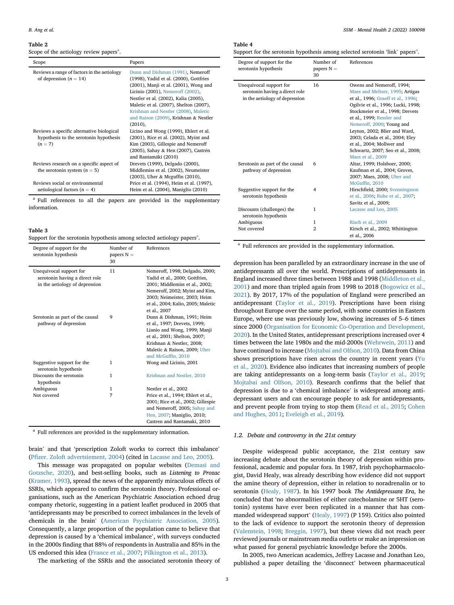#### <span id="page-2-3"></span>Table 2

Scope of the [a](#page-2-0)etiology review papers<sup>a</sup>.

| Scope                                                                                            | Papers                                                                                                                                                                                                                                                                                                                                       |
|--------------------------------------------------------------------------------------------------|----------------------------------------------------------------------------------------------------------------------------------------------------------------------------------------------------------------------------------------------------------------------------------------------------------------------------------------------|
| Reviews a range of factors in the aetiology<br>of depression $(n = 14)$                          | Dunn and Dishman (1991), Nemeroff<br>(1998), Yadid et al. (2000), Gottfries<br>$(2001)$ , Manji et al. $(2001)$ , Wong and<br>Licinio (2001), Nemeroff (2002),<br>Nestler et al. (2002), Kalia (2005),<br>Maletic et al. (2007), Shelton (2007),<br>Krishnan and Nestler (2008), Maletic<br>and Raison (2009), Krishnan & Nestler<br>(2010), |
| Reviews a specific alternative biological<br>hypothesis to the serotonin hypothesis<br>$(n = 7)$ | Licino and Wong (1999), Ehlert et al.<br>$(2001)$ , Rice et al. $(2002)$ , Myint and<br>Kim (2003), Gillespie and Nemeroff<br>(2005), Sahay & Hen (2007), Castrén<br>and Rantamäki (2010)                                                                                                                                                    |
| Reviews research on a specific aspect of<br>the serotonin system $(n = 5)$                       | Drevets (1999), Delgado (2000),<br>Middlemiss et al. (2002), Neumeister<br>(2003), Uher & Mcguffin (2010),                                                                                                                                                                                                                                   |
| Reviews social or environmental<br>aetiological factors ( $n = 4$ )                              | Price et al. (1994), Heim et al. (1997),<br>Heim et al. (2004), Maniglio (2010)                                                                                                                                                                                                                                                              |

<span id="page-2-0"></span><sup>a</sup> Full references to all the papers are provided in the supplementary information.

<span id="page-2-4"></span>

| able |  |
|------|--|
|------|--|

|  |  | Support for the serotonin hypothesis among selected aetiology papers <sup>a</sup> . |
|--|--|-------------------------------------------------------------------------------------|
|  |  |                                                                                     |

| Degree of support for the<br>serotonin hypothesis                                           | Number of<br>papers $N =$<br>30 | References                                                                                                                                                                                                                 |
|---------------------------------------------------------------------------------------------|---------------------------------|----------------------------------------------------------------------------------------------------------------------------------------------------------------------------------------------------------------------------|
| Unequivocal support for<br>serotonin having a direct role<br>in the aetiology of depression | 11                              | Nemeroff, 1998; Delgado, 2000;<br>Yadid et al., 2000; Gottfries,<br>2001; Middlemiss et al., 2002;<br>Nemeroff, 2002; Myint and Kim,<br>2003; Neimeister, 2003; Heim<br>et al., 2004; Kalio, 2005; Maletic<br>et al., 2007 |
| Serotonin as part of the causal<br>pathway of depression                                    | 9                               | Dunn & Dishman, 1991; Heim<br>et al., 1997; Drevets, 1999;<br>Lianio and Wong, 1999; Manji<br>et al., 2001; Shelton, 2007;<br>Krishnan & Nestler, 2008;<br>Maletic & Raison, 2009; Uher<br>and McGuffin, 2010              |
| Suggestive support for the<br>serotonin hypothesis                                          | 1                               | Wong and Licinio, 2001                                                                                                                                                                                                     |
| Discounts the serotonin<br>hypothesis                                                       | 1                               | Krishnan and Nestler, 2010                                                                                                                                                                                                 |
| Ambiguous                                                                                   | 1                               | Nestler et al., 2002                                                                                                                                                                                                       |
| Not covered                                                                                 | 7                               | Price et al., 1994; Ehlert et al.,<br>2001; Rice et al., 2002; Gillespie<br>and Nemeroff, 2005; Sahay and<br>Hen, 2007; Maniglio, 2010;<br>Castren and Rantamaki, 2010                                                     |

<span id="page-2-1"></span><sup>a</sup> Full references are provided in the supplementary information.

brain' and that 'prescription Zoloft works to correct this imbalance' (Pfi[zer. Zoloft advertsiement, 2004](#page-7-7)) (cited in [Lacasse and Leo, 2005\)](#page-7-8).

This message was propagated on popular websites ([Demasi and](#page-7-9) [Gotzsche, 2020](#page-7-9)), and best-selling books, such as Listening to Prozac ([Kramer, 1993\)](#page-7-10), spread the news of the apparently miraculous effects of SSRIs, which appeared to confirm the serotonin theory. Professional organisations, such as the American Psychiatric Association echoed drug company rhetoric, suggesting in a patient leaflet produced in 2005 that 'antidepressants may be prescribed to correct imbalances in the levels of chemicals in the brain' ([American Psychiatric Association, 2005\)](#page-7-11). Consequently, a large proportion of the population came to believe that depression is caused by a 'chemical imbalance', with surveys conducted in the 2000s finding that 88% of respondents in Australia and 85% in the US endorsed this idea [\(France et al., 2007;](#page-7-0) [Pilkington et al., 2013](#page-7-12)).

The marketing of the SSRIs and the associated serotonin theory of

#### <span id="page-2-5"></span>Table 4

Support for the serotonin hypothesis [a](#page-2-2)mong selected serotonin 'link' papers<sup>a</sup>.

| Degree of support for the<br>serotonin hypothesis                                           | Number of<br>papers $N =$<br>30 | References                                                                                                                                                                                                                                                                                                                                                                                        |
|---------------------------------------------------------------------------------------------|---------------------------------|---------------------------------------------------------------------------------------------------------------------------------------------------------------------------------------------------------------------------------------------------------------------------------------------------------------------------------------------------------------------------------------------------|
| Unequivocal support for<br>serotonin having a direct role<br>in the aetiology of depression | 16                              | Owens and Nemeroff, 1994;<br>Maes and Meltzer, 1995; Artigas<br>et al., 1996; Graeff et al., 1996;<br>Ogilvie et al., 1996; Lucki, 1998;<br>Stockmeier et al., 1998; Drevets<br>et al., 1999; Ressler and<br>Nemeroff, 2000; Young and<br>Leyton, 2002; Blier and Ward,<br>2003; Celada et al., 2004; Eley<br>et al., 2004; Mollwer and<br>Schwartz, 2007; Seo et al., 2008;<br>Maes et al., 2009 |
| Serotonin as part of the causal<br>pathway of depression                                    | 6                               | Altar, 1999; Holsboer, 2000;<br>Kaufman et al., 2004; Groves,<br>2007; Maes, 2008; Uher and<br>McGuffin, 2010                                                                                                                                                                                                                                                                                     |
| Suggestive support for the<br>serotonin hypothesis                                          | $\overline{\mathbf{4}}$         | Hirschfield, 2000; Svenningsson<br>et al., 2006; Ruhe et al., 2007;<br>Savitz et al., 2009;                                                                                                                                                                                                                                                                                                       |
| Discounts (challenges) the<br>serotonin hypothesis                                          | 1                               | Lacasse and Leo, 2005                                                                                                                                                                                                                                                                                                                                                                             |
| Ambiguous                                                                                   | 1                               | Risch et al., 2009                                                                                                                                                                                                                                                                                                                                                                                |
| Not covered                                                                                 | $\overline{2}$                  | Kirsch et al., 2002; Whittington<br>et al., 2006                                                                                                                                                                                                                                                                                                                                                  |

<span id="page-2-2"></span><sup>a</sup> Full references are provided in the supplementary information.

depression has been paralleled by an extraordinary increase in the use of antidepressants all over the world. Prescriptions of antidepressants in England increased three times between 1988 and 1998 ([Middleton et al.,](#page-7-13) [2001\)](#page-7-13) and more than tripled again from 1998 to 2018 [\(Bogowicz et al.,](#page-7-14) [2021\)](#page-7-14). By 2017, 17% of the population of England were prescribed an antidepressant ([Taylor et al., 2019](#page-8-3)). Prescriptions have been rising throughout Europe over the same period, with some countries in Eastern Europe, where use was previously low, showing increases of 5–6 times since 2000 ([Organisation for Economic Co-Operation and Development,](#page-7-15) [2020\)](#page-7-15). In the United States, antidepressant prescriptions increased over 4 times between the late 1980s and the mid-2000s [\(Wehrwein, 2011\)](#page-8-4) and have continued to increase [\(Mojtabai and Olfson, 2010](#page-7-16)). Data from China shows prescriptions have risen across the country in recent years [\(Yu](#page-8-5) [et al., 2020\)](#page-8-5). Evidence also indicates that increasing numbers of people are taking antidepressants on a long-term basis ([Taylor et al., 2019;](#page-8-3) [Mojtabai and Olfson, 2010](#page-7-16)). Research confirms that the belief that depression is due to a 'chemical imbalance' is widespread among antidepressant users and can encourage people to ask for antidepressants, and prevent people from trying to stop them [\(Read et al., 2015;](#page-8-6) [Cohen](#page-7-17) [and Hughes, 2011](#page-7-17); [Eveleigh et al., 2019](#page-7-18)).

#### 1.2. Debate and controversy in the 21st century

Despite widespread public acceptance, the 21st century saw increasing debate about the serotonin theory of depression within professional, academic and popular fora. In 1987, Irish psychopharmacologist, David Healy, was already describing how evidence did not support the amine theory of depression, either in relation to noradrenalin or to serotonin ([Healy, 1987\)](#page-7-3). In his 1997 book The Antidepressant Era, he concluded that 'no abnormalities of either catecholamine or 5HT (serotonin) systems have ever been replicated in a manner that has commanded widespread support' ([Healy, 1997](#page-7-19)) (P 159). Critics also pointed to the lack of evidence to support the serotonin theory of depression ([Valenstein, 1998](#page-8-2); [Breggin, 1997](#page-7-20)), but these views did not reach peer reviewed journals or mainstream media outlets or make an impression on what passed for general psychiatric knowledge before the 2000s.

In 2005, two American academics, Jeffrey Lacasse and Jonathan Leo, published a paper detailing the 'disconnect' between pharmaceutical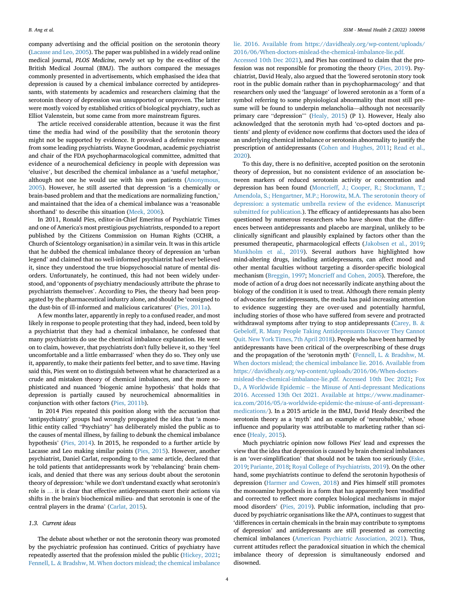company advertising and the official position on the serotonin theory ([Lacasse and Leo, 2005\)](#page-7-8). The paper was published in a widely read online medical journal, PLOS Medicine, newly set up by the ex-editor of the British Medical Journal (BMJ). The authors compared the messages commonly presented in advertisements, which emphasised the idea that depression is caused by a chemical imbalance corrected by antidepressants, with statements by academics and researchers claiming that the serotonin theory of depression was unsupported or unproven. The latter were mostly voiced by established critics of biological psychiatry, such as Elliot Valenstein, but some came from more mainstream figures.

The article received considerable attention, because it was the first time the media had wind of the possibility that the serotonin theory might not be supported by evidence. It provoked a defensive response from some leading psychiatrists. Wayne Goodman, academic psychiatrist and chair of the FDA psychopharmacological committee, admitted that evidence of a neurochemical deficiency in people with depression was 'elusive', but described the chemical imbalance as a 'useful metaphor,' although not one he would use with his own patients [\(Anonymous,](#page-7-29) [2005\)](#page-7-29). However, he still asserted that depression 'is a chemically or brain-based problem and that the medications are normalizing function,' and maintained that the idea of a chemical imbalance was a 'reasonable shorthand' to describe this situation [\(Meek, 2006\)](#page-7-30).

In 2011, Ronald Pies, editor-in-Chief Emeritus of Psychiatric Times and one of America's most prestigious psychiatrists, responded to a report published by the Citizens Commission on Human Rights (CCHR, a Church of Scientology organisation) in a similar vein. It was in this article that he dubbed the chemical imbalance theory of depression an 'urban legend' and claimed that no well-informed psychiatrist had ever believed it, since they understood the true biopsychosocial nature of mental disorders. Unfortunately, he continued, this had not been widely understood, and 'opponents of psychiatry mendaciously attribute the phrase to psychiatrists themselves'. According to Pies, the theory had been propagated by the pharmaceutical industry alone, and should be 'consigned to the dust-bin of ill-informed and malicious caricatures' ([Pies, 2011a](#page-7-1)).

A few months later, apparently in reply to a confused reader, and most likely in response to people protesting that they had, indeed, been told by a psychiatrist that they had a chemical imbalance, he confessed that many psychiatrists do use the chemical imbalance explanation. He went on to claim, however, that psychiatrists don't fully believe it, so they 'feel uncomfortable and a little embarrassed' when they do so. They only use it, apparently, to make their patients feel better, and to save time. Having said this, Pies went on to distinguish between what he characterized as a crude and mistaken theory of chemical imbalances, and the more sophisticated and nuanced 'biogenic amine hypothesis' that holds that depression is partially caused by neurochemical abnormalities in conjunction with other factors ([Pies, 2011b\)](#page-7-31).

In 2014 Pies repeated this position along with the accusation that 'antipsychiatry' groups had wrongly propagated the idea that 'a monolithic entity called "Psychiatry" has deliberately misled the public as to the causes of mental illness, by failing to debunk the chemical imbalance hypothesis' [\(Pies, 2014](#page-7-32)). In 2015, he responded to a further article by Lacasse and Leo making similar points [\(Pies, 2015](#page-7-33)). However, another psychiatrist, Daniel Carlat, responding to the same article, declared that he told patients that antidepressants work by 'rebalancing' brain chemicals, and denied that there was any serious doubt about the serotonin theory of depression: 'while we don't understand exactly what serotonin's role is … it is clear that effective antidepressants exert their actions via shifts in the brain's biochemical milieu- and that serotonin is one of the central players in the drama' [\(Carlat, 2015\)](#page-7-34).

# 1.3. Current ideas

The debate about whether or not the serotonin theory was promoted by the psychiatric profession has continued. Critics of psychiatry have repeatedly asserted that the profession misled the public [\(Hickey, 2021;](#page-7-35) [Fennell, L.](#page-7-36) & [Bradshw, M. When doctors mislead; the chemical imbalance](#page-7-36)

# [lie. 2016. Available from https://davidhealy.org/wp-content/uploads/](#page-7-36) [2016/06/When-doctors-mislead-the-chemical-imbalance-lie.pdf.](#page-7-36)

[Accessed 10th Dec 2021](#page-7-36)), and Pies has continued to claim that the profession was not responsible for promoting the theory ([Pies, 2019\)](#page-7-37). Psychiatrist, David Healy, also argued that the 'lowered serotonin story took root in the public domain rather than in psychopharmacology' and that researchers only used the 'language' of lowered serotonin as a 'form of a symbol referring to some physiological abnormality that most still presume will be found to underpin melancholia—although not necessarily primary care "depression" [\(Healy, 2015\)](#page-7-6) (P 1). However, Healy also acknowledged that the serotonin myth had 'co-opted doctors and patients' and plenty of evidence now confirms that doctors used the idea of an underlying chemical imbalance or serotonin abnormality to justify the prescription of antidepressants [\(Cohen and Hughes, 2011;](#page-7-17) [Read et al.,](#page-8-13) [2020\)](#page-8-13).

To this day, there is no definitive, accepted position on the serotonin theory of depression, but no consistent evidence of an association between markers of reduced serotonin activity or concentration and depression has been found ([Moncrieff, J.; Cooper, R.; Stockmann, T.;](#page-7-38) [Amendola, S.; Hengartner, M.P.; Horowitz, M.A. The serotonin theory of](#page-7-38) [depression: a systematic umbrella review of the evidence. Manuscript](#page-7-38) [submitted for publication.\)](#page-7-38). The efficacy of antidepressants has also been questioned by numerous researchers who have shown that the differences between antidepressants and placebo are marginal, unlikely to be clinically significant and plausibly explained by factors other than the presumed therapeutic, pharmacological effects [\(Jakobsen et al., 2019;](#page-7-39) [Munkholm et al., 2019](#page-7-40)). Several authors have highlighted how mind-altering drugs, including antidepressants, can affect mood and other mental faculties without targeting a disorder-specific biological mechanism [\(Breggin, 1997;](#page-7-20) [Moncrieff and Cohen, 2005\)](#page-7-41). Therefore, the mode of action of a drug does not necessarily indicate anything about the biology of the condition it is used to treat. Although there remain plenty of advocates for antidepressants, the media has paid increasing attention to evidence suggesting they are over-used and potentially harmful, including stories of those who have suffered from severe and protracted withdrawal symptoms after trying to stop antidepressants ([Carey, B.](#page-7-42) & [Gebeloff, R. Many People Taking Antidepressants Discover They Cannot](#page-7-42) [Quit. New York Times, 7th April 2018](#page-7-42)). People who have been harmed by antidepressants have been critical of the overprescribing of these drugs and the propagation of the 'serotonin myth' [\(Fennell, L.](#page-7-36) & [Bradshw, M.](#page-7-36) [When doctors mislead; the chemical imbalance lie. 2016. Available from](#page-7-36) [https://davidhealy.org/wp-content/uploads/2016/06/When-doctors](#page-7-36)[mislead-the-chemical-imbalance-lie.pdf. Accessed 10th Dec 2021](#page-7-36); [Fox](#page-7-43) [D., A Worldwide Epidemic](#page-7-43) – [the Misuse of Anti-depressant Medications](#page-7-43) [2016. Accessed 13th Oct 2021. Available at https://www.madinamer](#page-7-43)[ica.com/2016/05/a-worldwide-epidemic-the-misuse-of-anti-depressant](#page-7-43)[medications/\)](#page-7-43). In a 2015 article in the BMJ, David Healy described the serotonin theory as a 'myth' and an example of 'neurobabble,' whose influence and popularity was attributable to marketing rather than science ([Healy, 2015](#page-7-6)).

Much psychiatric opinion now follows Pies' lead and expresses the view that the idea that depression is caused by brain chemical imbalances is an 'over-simplification' that should not be taken too seriously ([Eske,](#page-7-2) [2019;](#page-7-2) [Pariante, 2018](#page-7-44); [Royal College of Psychiatrists, 2019](#page-8-14)). On the other hand, some psychiatrists continue to defend the serotonin hypothesis of depression ([Harmer and Cowen, 2018](#page-7-45)) and Pies himself still promotes the monoamine hypothesis in a form that has apparently been 'modified and corrected to reflect more complex biological mechanisms in major mood disorders' [\(Pies, 2019\)](#page-7-37). Public information, including that produced by psychiatric organisations like the APA, continues to suggest that 'differences in certain chemicals in the brain may contribute to symptoms of depression' and antidepressants are still presented as correcting chemical imbalances [\(American Psychiatric Association, 2021\)](#page-7-46). Thus, current attitudes reflect the paradoxical situation in which the chemical imbalance theory of depression is simultaneously endorsed and disowned.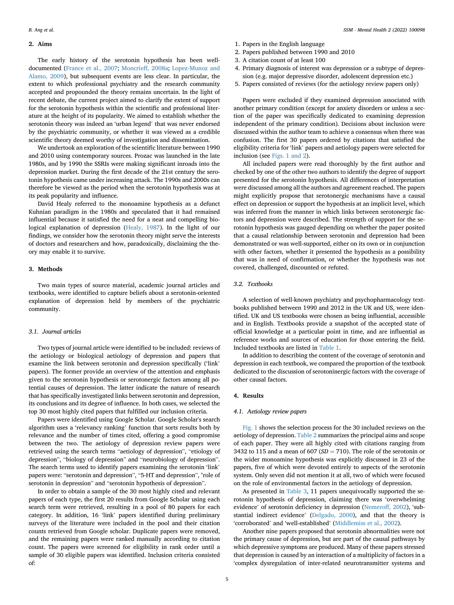# 2. Aims

The early history of the serotonin hypothesis has been welldocumented ([France et al., 2007](#page-7-0); [Moncrieff, 2008a;](#page-7-5) [Lopez-Munoz and](#page-7-47) [Alamo, 2009\)](#page-7-47), but subsequent events are less clear. In particular, the extent to which professional psychiatry and the research community accepted and propounded the theory remains uncertain. In the light of recent debate, the current project aimed to clarify the extent of support for the serotonin hypothesis within the scientific and professional literature at the height of its popularity. We aimed to establish whether the serotonin theory was indeed an 'urban legend' that was never endorsed by the psychiatric community, or whether it was viewed as a credible scientific theory deemed worthy of investigation and dissemination.

We undertook an exploration of the scientific literature between 1990 and 2010 using contemporary sources. Prozac was launched in the late 1980s, and by 1990 the SSRIs were making significant inroads into the depression market. During the first decade of the 21st century the serotonin hypothesis came under increasing attack. The 1990s and 2000s can therefore be viewed as the period when the serotonin hypothesis was at its peak popularity and influence.

David Healy referred to the monoamine hypothesis as a defunct Kuhnian paradigm in the 1980s and speculated that it had remained influential because it satisfied the need for a neat and compelling biological explanation of depression [\(Healy, 1987\)](#page-7-3). In the light of our findings, we consider how the serotonin theory might serve the interests of doctors and researchers and how, paradoxically, disclaiming the theory may enable it to survive.

# 3. Methods

Two main types of source material, academic journal articles and textbooks, were identified to capture beliefs about a serotonin-oriented explanation of depression held by members of the psychiatric community.

### 3.1. Journal articles

Two types of journal article were identified to be included: reviews of the aetiology or biological aetiology of depression and papers that examine the link between serotonin and depression specifically ('link' papers). The former provide an overview of the attention and emphasis given to the serotonin hypothesis or serotonergic factors among all potential causes of depression. The latter indicate the nature of research that has specifically investigated links between serotonin and depression, its conclusions and its degree of influence. In both cases, we selected the top 30 most highly cited papers that fulfilled our inclusion criteria.

Papers were identified using Google Scholar. Google Scholar's search algorithm uses a 'relevancy ranking' function that sorts results both by relevance and the number of times cited, offering a good compromise between the two. The aetiology of depression review papers were retrieved using the search terms "aetiology of depression", "etiology of depression", "biology of depression" and "neurobiology of depression". The search terms used to identify papers examining the serotonin 'link' papers were: "serotonin and depression", "5-HT and depression", "role of serotonin in depression" and "serotonin hypothesis of depression".

In order to obtain a sample of the 30 most highly cited and relevant papers of each type, the first 20 results from Google Scholar using each search term were retrieved, resulting in a pool of 80 papers for each category. In addition, 16 'link' papers identified during preliminary surveys of the literature were included in the pool and their citation counts retrieved from Google scholar. Duplicate papers were removed, and the remaining papers were ranked manually according to citation count. The papers were screened for eligibility in rank order until a sample of 30 eligible papers was identified. Inclusion criteria consisted of:

- 1. Papers in the English language
- 2. Papers published between 1990 and 2010
- 3. A citation count of at least 100
- 4. Primary diagnosis of interest was depression or a subtype of depression (e.g. major depressive disorder, adolescent depression etc.)
- 5. Papers consisted of reviews (for the aetiology review papers only)

Papers were excluded if they examined depression associated with another primary condition (except for anxiety disorders or unless a section of the paper was specifically dedicated to examining depression independent of the primary condition). Decisions about inclusion were discussed within the author team to achieve a consensus when there was confusion. The first 30 papers ordered by citations that satisfied the eligibility criteria for 'link' papers and aetiology papers were selected for inclusion (see [Figs. 1 and 2](#page-1-1)).

All included papers were read thoroughly by the first author and checked by one of the other two authors to identify the degree of support presented for the serotonin hypothesis. All differences of interpretation were discussed among all the authors and agreement reached. The papers might explicitly propose that serotonergic mechanisms have a causal effect on depression or support the hypothesis at an implicit level, which was inferred from the manner in which links between serotonergic factors and depression were described. The strength of support for the serotonin hypothesis was gauged depending on whether the paper posited that a causal relationship between serotonin and depression had been demonstrated or was well-supported, either on its own or in conjunction with other factors, whether it presented the hypothesis as a possibility that was in need of confirmation, or whether the hypothesis was not covered, challenged, discounted or refuted.

# 3.2. Textbooks

A selection of well-known psychiatry and psychopharmacology textbooks published between 1990 and 2012 in the UK and US, were identified. UK and US textbooks were chosen as being influential, accessible and in English. Textbooks provide a snapshot of the accepted state of official knowledge at a particular point in time, and are influential as reference works and sources of education for those entering the field. Included textbooks are listed in [Table 1](#page-1-2).

In addition to describing the content of the coverage of serotonin and depression in each textbook, we compared the proportion of the textbook dedicated to the discussion of serotoninergic factors with the coverage of other causal factors.

# 4. Results

# 4.1. Aetiology review papers

[Fig. 1](#page-1-1) shows the selection process for the 30 included reviews on the aetiology of depression. [Table 2](#page-2-3) summarizes the principal aims and scope of each paper. They were all highly cited with citations ranging from 3432 to 115 and a mean of 607 ( $SD = 710$ ). The role of the serotonin or the wider monoamine hypothesis was explicitly discussed in 23 of the papers, five of which were devoted entirely to aspects of the serotonin system. Only seven did not mention it at all, two of which were focused on the role of environmental factors in the aetiology of depression.

As presented in [Table 3,](#page-2-4) 11 papers unequivocally supported the serotonin hypothesis of depression, claiming there was 'overwhelming evidence' of serotonin deficiency in depression [\(Nemeroff, 2002](#page-7-22)), 'substantial indirect evidence' ([Delgado, 2000\)](#page-7-48), and that the theory is 'corroborated' and 'well-established' ([Middlemiss et al., 2002\)](#page-7-49).

Another nine papers proposed that serotonin abnormalities were not the primary cause of depression, but are part of the causal pathways by which depressive symptoms are produced. Many of these papers stressed that depression is caused by an interaction of a multiplicity of factors in a 'complex dysregulation of inter-related neurotransmitter systems and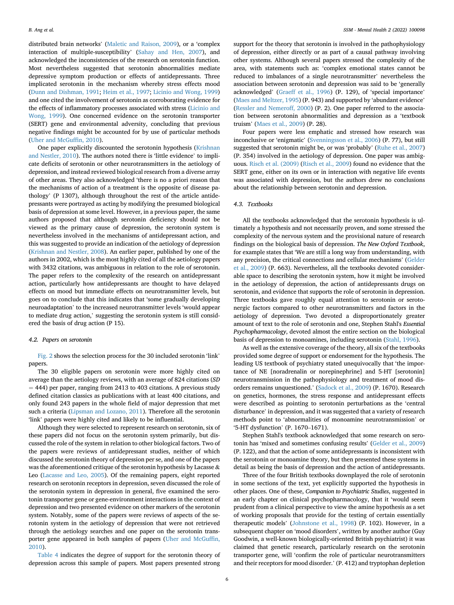distributed brain networks' ([Maletic and Raison, 2009\)](#page-7-24), or a 'complex interaction of multiple-susceptibility' [\(Sahay and Hen, 2007](#page-8-8)), and acknowledged the inconsistencies of the research on serotonin function. Most nevertheless suggested that serotonin abnormalities mediate depressive symptom production or effects of antidepressants. Three implicated serotonin in the mechanism whereby stress effects mood ([Dunn and Dishman, 1991;](#page-7-21) [Heim et al., 1997;](#page-7-50) [Licinio and Wong, 1999\)](#page-7-51) and one cited the involvement of serotonin as corroborating evidence for the effects of inflammatory processes associated with stress ([Licinio and](#page-7-51) [Wong, 1999](#page-7-51)). One concerned evidence on the serotonin transporter (SERT) gene and environmental adversity, concluding that previous negative findings might be accounted for by use of particular methods ([Uher and McGuf](#page-8-7)fin, 2010).

One paper explicitly discounted the serotonin hypothesis ([Krishnan](#page-7-25) [and Nestler, 2010](#page-7-25)). The authors noted there is 'little evidence' to implicate deficits of serotonin or other neurotransmitters in the aetiology of depression, and instead reviewed biological research from a diverse array of other areas. They also acknowledged 'there is no a priori reason that the mechanisms of action of a treatment is the opposite of disease pathology' (P 1307), although throughout the rest of the article antidepressants were portrayed as acting by modifying the presumed biological basis of depression at some level. However, in a previous paper, the same authors proposed that although serotonin deficiency should not be viewed as the primary cause of depression, the serotonin system is nevertheless involved in the mechanisms of antidepressant action, and this was suggested to provide an indication of the aetiology of depression ([Krishnan and Nestler, 2008\)](#page-7-23). An earlier paper, published by one of the authors in 2002, which is the most highly cited of all the aetiology papers with 3432 citations, was ambiguous in relation to the role of serotonin. The paper refers to the complexity of the research on antidepressant action, particularly how antidepressants are thought to have delayed effects on mood but immediate effects on neurotransmitter levels, but goes on to conclude that this indicates that 'some gradually developing neuroadaptation' to the increased neurotransmitter levels 'would appear to mediate drug action,' suggesting the serotonin system is still considered the basis of drug action (P 15).

#### 4.2. Papers on serotonin

[Fig. 2](#page-1-3) shows the selection process for the 30 included serotonin 'link' papers.

The 30 eligible papers on serotonin were more highly cited on average than the aetiology reviews, with an average of 824 citations (SD  $=$  444) per paper, ranging from 2413 to 403 citations. A previous study defined citation classics as publications with at least 400 citations, and only found 243 papers in the whole field of major depression that met such a criteria ([Lipsman and Lozano, 2011](#page-7-52)). Therefore all the serotonin 'link' papers were highly cited and likely to be influential.

Although they were selected to represent research on serotonin, six of these papers did not focus on the serotonin system primarily, but discussed the role of the system in relation to other biological factors. Two of the papers were reviews of antidepressant studies, neither of which discussed the serotonin theory of depression per se, and one of the papers was the aforementioned critique of the serotonin hypothesis by Lacasse & Leo [\(Lacasse and Leo, 2005\)](#page-7-8). Of the remaining papers, eight reported research on serotonin receptors in depression, seven discussed the role of the serotonin system in depression in general, five examined the serotonin transporter gene or gene-environment interactions in the context of depression and two presented evidence on other markers of the serotonin system. Notably, some of the papers were reviews of aspects of the serotonin system in the aetiology of depression that were not retrieved through the aetiology searches and one paper on the serotonin transporter gene appeared in both samples of papers [\(Uher and McGuf](#page-8-7)fin, [2010\)](#page-8-7).

[Table 4](#page-2-5) indicates the degree of support for the serotonin theory of depression across this sample of papers. Most papers presented strong

support for the theory that serotonin is involved in the pathophysiology of depression, either directly or as part of a causal pathway involving other systems. Although several papers stressed the complexity of the area, with statements such as: 'complex emotional states cannot be reduced to imbalances of a single neurotransmitter' nevertheless the association between serotonin and depression was said to be 'generally acknowledged' ([Graeff et al., 1996](#page-7-27)) (P. 129), of 'special importance' ([Maes and Meltzer, 1995](#page-7-26)) (P. 943) and supported by 'abundant evidence' ([Ressler and Nemeroff, 2000\)](#page-8-9) (P. 2). One paper referred to the association between serotonin abnormalities and depression as a 'textbook truism' ([Maes et al., 2009](#page-7-28)) (P. 28).

Four papers were less emphatic and stressed how research was inconclusive or 'enigmatic' ([Svenningsson et al., 2006](#page-8-10)) (P. 77), but still suggested that serotonin might be, or was 'probably' ([Ruhe et al., 2007\)](#page-8-11) (P. 354) involved in the aetiology of depression. One paper was ambiguous. [Risch et al. \(2009\)](#page-8-12) [\(Risch et al., 2009](#page-8-12)) found no evidence that the SERT gene, either on its own or in interaction with negative life events was associated with depression, but the authors drew no conclusions about the relationship between serotonin and depression.

#### 4.3. Textbooks

All the textbooks acknowledged that the serotonin hypothesis is ultimately a hypothesis and not necessarily proven, and some stressed the complexity of the nervous system and the provisional nature of research findings on the biological basis of depression. The New Oxford Textbook, for example states that 'We are still a long way from understanding, with any precision, the critical connections and cellular mechanisms' ([Gelder](#page-7-53) [et al., 2009\)](#page-7-53) (P. 663). Nevertheless, all the textbooks devoted considerable space to describing the serotonin system, how it might be involved in the aetiology of depression, the action of antidepressants drugs on serotonin, and evidence that supports the role of serotonin in depression. Three textbooks gave roughly equal attention to serotonin or serotonergic factors compared to other neurotransmitters and factors in the aetiology of depression. Two devoted a disproportionately greater amount of text to the role of serotonin and one, Stephen Stahl's Essential Psychopharmacology, devoted almost the entire section on the biological basis of depression to monoamines, including serotonin [\(Stahl, 1996](#page-8-15)).

As well as the extensive coverage of the theory, all six of the textbooks provided some degree of support or endorsement for the hypothesis. The leading US textbook of psychiatry stated unequivocally that 'the importance of NE [noradrenalin or norepinephrine] and 5-HT [serotonin] neurotransmission in the pathophysiology and treatment of mood disorders remains unquestioned.' ([Sadock et al., 2009\)](#page-8-16) (P. 1670). Research on genetics, hormones, the stress response and antidepressant effects were described as pointing to serotonin perturbations as the 'central disturbance' in depression, and it was suggested that a variety of research methods point to 'abnormalities of monoamine neurotransmission' or '5-HT dysfunction' (P. 1670–1671).

Stephen Stahl's textbook acknowledged that some research on serotonin has 'mixed and sometimes confusing results' [\(Gelder et al., 2009\)](#page-7-53) (P. 122), and that the action of some antidepressants is inconsistent with the serotonin or monoamine theory, but then presented these systems in detail as being the basis of depression and the action of antidepressants.

Three of the four British textbooks downplayed the role of serotonin in some sections of the text, yet explicitly supported the hypothesis in other places. One of these, Companion to Psychiatric Studies, suggested in an early chapter on clinical psychopharmacology, that it 'would seem prudent from a clinical perspective to view the amine hypothesis as a set of working proposals that provide for the testing of certain essentially therapeutic models' ([Johnstone et al., 1998\)](#page-7-54) (P. 102). However, in a subsequent chapter on 'mood disorders', written by another author (Guy Goodwin, a well-known biologically-oriented British psychiatrist) it was claimed that genetic research, particularly research on the serotonin transporter gene, will 'confirm the role of particular neurotransmitters and their receptors for mood disorder.' (P. 412) and tryptophan depletion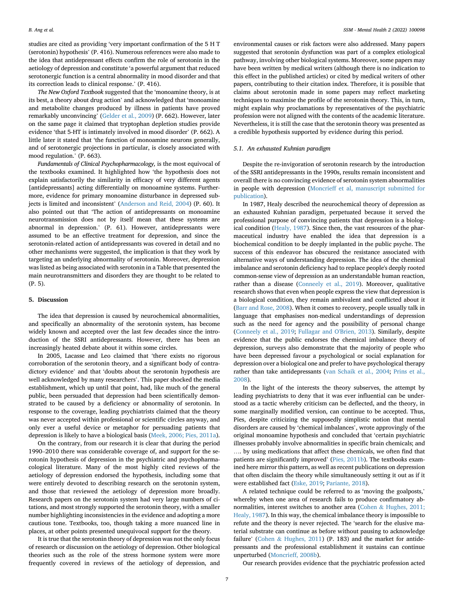studies are cited as providing 'very important confirmation of the 5 H T (serotonin) hypothesis' (P. 416). Numerous references were also made to the idea that antidepressant effects confirm the role of serotonin in the aetiology of depression and constitute 'a powerful argument that reduced serotonergic function is a central abnormality in mood disorder and that its correction leads to clinical response.' (P. 416).

The New Oxford Textbook suggested that the 'monoamine theory, is at its best, a theory about drug action' and acknowledged that 'monoamine and metabolite changes produced by illness in patients have proved remarkably unconvincing' [\(Gelder et al., 2009](#page-7-53)) (P. 662). However, later on the same page it claimed that tryptophan depletion studies provide evidence 'that 5-HT is intimately involved in mood disorder' (P. 662). A little later it stated that 'the function of monoamine neurons generally, and of serotonergic projections in particular, is closely associated with mood regulation.' (P. 663).

Fundamentals of Clinical Psychopharmacology, is the most equivocal of the textbooks examined. It highlighted how 'the hypothesis does not explain satisfactorily the similarity in efficacy of very different agents [antidepressants] acting differentially on monoamine systems. Furthermore, evidence for primary monoamine disturbance in depressed subjects is limited and inconsistent' ([Anderson and Reid, 2004](#page-7-55)) (P. 60). It also pointed out that 'The action of antidepressants on monoamine neurotransmission does not by itself mean that these systems are abnormal in depression.' (P. 61). However, antidepressants were assumed to be an effective treatment for depression, and since the serotonin-related action of antidepressants was covered in detail and no other mechanisms were suggested, the implication is that they work by targeting an underlying abnormality of serotonin. Moreover, depression was listed as being associated with serotonin in a Table that presented the main neurotransmitters and disorders they are thought to be related to (P. 5).

#### 5. Discussion

The idea that depression is caused by neurochemical abnormalities, and specifically an abnormality of the serotonin system, has become widely known and accepted over the last few decades since the introduction of the SSRI antidepressants. However, there has been an increasingly heated debate about it within some circles.

In 2005, Lacasse and Leo claimed that 'there exists no rigorous corroboration of the serotonin theory, and a significant body of contradictory evidence' and that 'doubts about the serotonin hypothesis are well acknowledged by many researchers'. This paper shocked the media establishment, which up until that point, had, like much of the general public, been persuaded that depression had been scientifically demonstrated to be caused by a deficiency or abnormality of serotonin. In response to the coverage, leading psychiatrists claimed that the theory was never accepted within professional or scientific circles anyway, and only ever a useful device or metaphor for persuading patients that depression is likely to have a biological basis [\(Meek, 2006; Pies, 2011a\)](#page-7-30).

On the contrary, from our research it is clear that during the period 1990–2010 there was considerable coverage of, and support for the serotonin hypothesis of depression in the psychiatric and psychopharmacological literature. Many of the most highly cited reviews of the aetiology of depression endorsed the hypothesis, including some that were entirely devoted to describing research on the serotonin system, and those that reviewed the aetiology of depression more broadly. Research papers on the serotonin system had very large numbers of citations, and most strongly supported the serotonin theory, with a smaller number highlighting inconsistencies in the evidence and adopting a more cautious tone. Textbooks, too, though taking a more nuanced line in places, at other points presented unequivocal support for the theory.

It is true that the serotonin theory of depression was not the only focus of research or discussion on the aetiology of depression. Other biological theories such as the role of the stress hormone system were more frequently covered in reviews of the aetiology of depression, and

environmental causes or risk factors were also addressed. Many papers suggested that serotonin dysfunction was part of a complex etiological pathway, involving other biological systems. Moreover, some papers may have been written by medical writers (although there is no indication to this effect in the published articles) or cited by medical writers of other papers, contributing to their citation index. Therefore, it is possible that claims about serotonin made in some papers may reflect marketing techniques to maximise the profile of the serotonin theory. This, in turn, might explain why proclamations by representatives of the psychiatric profession were not aligned with the contents of the academic literature. Nevertheless, it is still the case that the serotonin theory was presented as a credible hypothesis supported by evidence during this period.

#### 5.1. An exhausted Kuhnian paradigm

Despite the re-invigoration of serotonin research by the introduction of the SSRI antidepressants in the 1990s, results remain inconsistent and overall there is no convincing evidence of serotonin system abnormalities in people with depression [\(Moncrieff et al, manuscript submitted for](#page-7-38) [publication\)](#page-7-38).

In 1987, Healy described the neurochemical theory of depression as an exhausted Kuhnian paradigm, perpetuated because it served the professional purpose of convincing patients that depression is a biological condition ([Healy, 1987\)](#page-7-3). Since then, the vast resources of the pharmaceutical industry have enabled the idea that depression is a biochemical condition to be deeply implanted in the public psyche. The success of this endeavor has obscured the resistance associated with alternative ways of understanding depression. The idea of the chemical imbalance and serotonin deficiency had to replace people's deeply rooted common-sense view of depression as an understandable human reaction, rather than a disease ([Conneely et al., 2019](#page-7-56)). Moreover, qualitative research shows that even when people express the view that depression is a biological condition, they remain ambivalent and conflicted about it ([Barr and Rose, 2008](#page-7-57)). When it comes to recovery, people usually talk in language that emphasises non-medical understandings of depression such as the need for agency and the possibility of personal change ([Conneely et al., 2019](#page-7-56); [Fullagar and O'Brien, 2013\)](#page-7-58). Similarly, despite evidence that the public endorses the chemical imbalance theory of depression, surveys also demonstrate that the majority of people who have been depressed favour a psychological or social explanation for depression over a biological one and prefer to have psychological therapy rather than take antidepressants ([van Schaik et al., 2004](#page-8-17); [Prins et al.,](#page-8-18) [2008\)](#page-8-18).

In the light of the interests the theory subserves, the attempt by leading psychiatrists to deny that it was ever influential can be understood as a tactic whereby criticism can be deflected, and the theory, in some marginally modified version, can continue to be accepted. Thus, Pies, despite criticizing the supposedly simplistic notion that mental disorders are caused by 'chemical imbalances', wrote approvingly of the original monoamine hypothesis and concluded that 'certain psychiatric illnesses probably involve abnormalities in specific brain chemicals; and …. by using medications that affect these chemicals, we often find that patients are significantly improved' ([Pies, 2011b](#page-7-31)). The textbooks examined here mirror this pattern, as well as recent publications on depression that often disclaim the theory while simultaneously setting it out as if it were established fact [\(Eske, 2019;](#page-7-2) [Pariante, 2018\)](#page-7-44).

A related technique could be referred to as 'moving the goalposts,' whereby when one area of research fails to produce confirmatory ab-normalities, interest switches to another area ([Cohen](#page-7-17) & [Hughes, 2011;](#page-7-17) [Healy, 1987\)](#page-7-17). In this way, the chemical imbalance theory is impossible to refute and the theory is never rejected. The 'search for the elusive material substrate can continue as before without pausing to acknowledge failure' [\(Cohen](#page-7-17) & [Hughes, 2011\)](#page-7-17) (P. 183) and the market for antidepressants and the professional establishment it sustains can continue unperturbed [\(Moncrieff, 2008b\)](#page-7-59).

Our research provides evidence that the psychiatric profession acted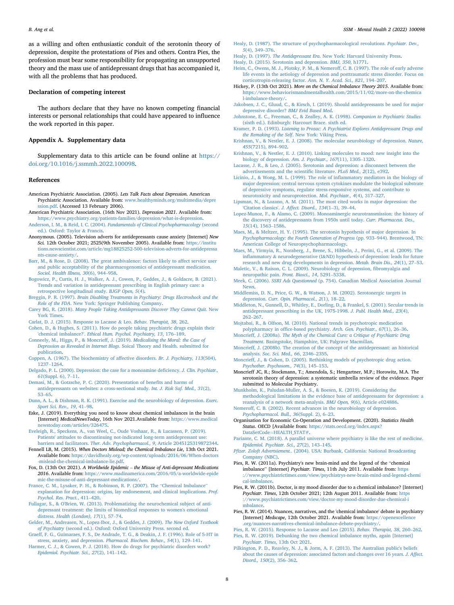as a willing and often enthusiastic conduit of the serotonin theory of depression, despite the protestations of Pies and others. Contra Pies, the profession must bear some responsibility for propagating an unsupported theory and the mass use of antidepressant drugs that has accompanied it, with all the problems that has produced.

#### Declaration of competing interest

The authors declare that they have no known competing financial interests or personal relationships that could have appeared to influence the work reported in this paper.

# Appendix A. Supplementary data

Supplementary data to this article can be found online at [https://](https://doi.org/10.1016/j.ssmmh.2022.100098) [doi.org/10.1016/j.ssmmh.2022.100098.](https://doi.org/10.1016/j.ssmmh.2022.100098)

#### References

- <span id="page-7-11"></span>American Psychiatric Association. (2005). Lets Talk Facts about Depression. American Psychiatric Association. Available from: [www.healthyminds.org/multimedia/depre](http://www.healthyminds.org/multimedia/depression.pdf) [ssion.pdf](http://www.healthyminds.org/multimedia/depression.pdf). (Accessed 13 February 2006).
- <span id="page-7-46"></span>American Psychiatric Association. (16th Nov 2021). Depression 2021. Available from: [https://www.psychiatry.org/patients-families/depression/what-is-depression.](https://www.psychiatry.org/patients-families/depression/what-is-depression)
- <span id="page-7-55"></span>Anderson, I. M., & Reid, I. C. (2004). [Fundamentals of Clinical Psychopharmacology](http://refhub.elsevier.com/S2666-5603(22)00038-X/sref3) (second [ed.\). Oxford: Taylor](http://refhub.elsevier.com/S2666-5603(22)00038-X/sref3) & [Francis.](http://refhub.elsevier.com/S2666-5603(22)00038-X/sref3)
- <span id="page-7-29"></span>Anonymous. (2005). Television adverts for antidepressants cause anxiety [Internet] New Sci. 12th October 2021; 2525(9th November 2005). Available from: [https://institu](https://institutions.newscientist.com/article/mg18825252-500-television-adverts-for-antidepressants-cause-anxiety/) [tions.newscientist.com/article/mg18825252-500-television-adverts-for-antidepressa](https://institutions.newscientist.com/article/mg18825252-500-television-adverts-for-antidepressants-cause-anxiety/) [nts-cause-anxiety/.](https://institutions.newscientist.com/article/mg18825252-500-television-adverts-for-antidepressants-cause-anxiety/)
- <span id="page-7-57"></span>[Barr, M., & Rose, D. \(2008\). The great ambivalence: factors likely to affect service user](http://refhub.elsevier.com/S2666-5603(22)00038-X/sref5) [and public acceptability of the pharmacogenomics of antidepressant medication.](http://refhub.elsevier.com/S2666-5603(22)00038-X/sref5) [Sociol. Health Illness, 30](http://refhub.elsevier.com/S2666-5603(22)00038-X/sref5)(6), 944–[958.](http://refhub.elsevier.com/S2666-5603(22)00038-X/sref5)
- <span id="page-7-14"></span>[Bogowicz, P., Curtis, H. J., Walker, A. J., Cowen, P., Geddes, J., & Goldacre, B. \(2021\).](http://refhub.elsevier.com/S2666-5603(22)00038-X/sref6) [Trends and variation in antidepressant prescribing in English primary care: a](http://refhub.elsevier.com/S2666-5603(22)00038-X/sref6) [retrospective longitudinal study.](http://refhub.elsevier.com/S2666-5603(22)00038-X/sref6) BJGP Open, 5(4).
- <span id="page-7-20"></span>Breggin, P. R. (1997). [Brain Disabling Treatments in Psychiatry: Drugs Electroshock and the](http://refhub.elsevier.com/S2666-5603(22)00038-X/sref7) Role of the FDA[. New York: Springer Publishing Company](http://refhub.elsevier.com/S2666-5603(22)00038-X/sref7).
- <span id="page-7-42"></span>Carey BG, R. (2018). [Many People Taking Antidepressants Discover They Cannot Quit](http://refhub.elsevier.com/S2666-5603(22)00038-X/sref8). New [York Times.](http://refhub.elsevier.com/S2666-5603(22)00038-X/sref8)
- <span id="page-7-34"></span>[Carlat, D. J. \(2015\). Response to Lacasse](http://refhub.elsevier.com/S2666-5603(22)00038-X/sref9) & Leo. [Behav. Therapist, 38](http://refhub.elsevier.com/S2666-5603(22)00038-X/sref9), 262.
- <span id="page-7-17"></span>[Cohen, D., & Hughes, S. \(2011\). How do people taking psychiatric drugs explain their](http://refhub.elsevier.com/S2666-5603(22)00038-X/sref10) 'chemical imbalance?'. [Ethical Hum. Psychol. Psychiatry, 13](http://refhub.elsevier.com/S2666-5603(22)00038-X/sref10), 176–[189.](http://refhub.elsevier.com/S2666-5603(22)00038-X/sref10)
- <span id="page-7-56"></span>[Conneely, M., Higgs, P., & Moncrieff, J. \(2019\).](http://refhub.elsevier.com/S2666-5603(22)00038-X/sref11) Medicalising the Moral: the Case of Depression as Revealed in Internet Blogs[. Soical Theory and Health. submitted for](http://refhub.elsevier.com/S2666-5603(22)00038-X/sref11) [publication](http://refhub.elsevier.com/S2666-5603(22)00038-X/sref11).
- <span id="page-7-4"></span>[Coppen, A. \(1967\). The biochemistry of affective disorders.](http://refhub.elsevier.com/S2666-5603(22)00038-X/sref12) Br. J. Psychiatry, 113(504), [1237](http://refhub.elsevier.com/S2666-5603(22)00038-X/sref12)–[1264](http://refhub.elsevier.com/S2666-5603(22)00038-X/sref12).
- <span id="page-7-48"></span>[Delgado, P. L. \(2000\). Depression: the case for a monoamine de](http://refhub.elsevier.com/S2666-5603(22)00038-X/sref13)ficiency. J. Clin. Psychiatr., 61[\(Suppl. 6\), 7](http://refhub.elsevier.com/S2666-5603(22)00038-X/sref13)–[11](http://refhub.elsevier.com/S2666-5603(22)00038-X/sref13).
- <span id="page-7-9"></span>[Demasi, M., & Gotzsche, P. C. \(2020\). Presentation of bene](http://refhub.elsevier.com/S2666-5603(22)00038-X/sref14)fits and harms of [antidepressants on websites: a cross-sectional study.](http://refhub.elsevier.com/S2666-5603(22)00038-X/sref14) Int. J. Risk Saf. Med., 31(2), [53](http://refhub.elsevier.com/S2666-5603(22)00038-X/sref14)–[65](http://refhub.elsevier.com/S2666-5603(22)00038-X/sref14).
- <span id="page-7-21"></span>[Dunn, A. L., & Dishman, R. K. \(1991\). Exercise and the neurobiology of depression.](http://refhub.elsevier.com/S2666-5603(22)00038-X/sref15) Exerc. [Sport Sci. Rev., 19](http://refhub.elsevier.com/S2666-5603(22)00038-X/sref15), 41–[98.](http://refhub.elsevier.com/S2666-5603(22)00038-X/sref15)
- <span id="page-7-2"></span>Eske, J. (2019). Everything you need to know about chemical imbalances in the brain [Internet] MedicalNewsToday, 16th Nov 2021.Available from: [https://www.medical](https://www.medicalnewstoday.com/articles/326475) [newstoday.com/articles/326475.](https://www.medicalnewstoday.com/articles/326475)
- <span id="page-7-18"></span>[Eveleigh, R., Speckens, A., van Weel, C., Oude Voshaar, R., & Lucassen, P. \(2019\).](http://refhub.elsevier.com/S2666-5603(22)00038-X/sref17) [Patients' attitudes to discontinuing not-indicated long-term antidepressant use:](http://refhub.elsevier.com/S2666-5603(22)00038-X/sref17) barriers and facilitators. [Ther. Adv. Psychopharmacol., 9](http://refhub.elsevier.com/S2666-5603(22)00038-X/sref17), Article 2045125319872344.
- <span id="page-7-36"></span>Fennell LB, M. (2015). When Doctors Mislead; the Chemical Imbalance Lie, 13th Oct 2021. Available from: [https://davidhealy.org/wp-content/uploads/2016/06/When-doctors](https://davidhealy.org/wp-content/uploads/2016/06/When-doctors-mislead-the-chemical-imbalance-lie.pdf) [-mislead-the-chemical-imbalance-lie.pdf.](https://davidhealy.org/wp-content/uploads/2016/06/When-doctors-mislead-the-chemical-imbalance-lie.pdf)
- <span id="page-7-43"></span>Fox, D. (13th Oct 2021). A Worldwide Epidemic – the Misuse of Anti-depressant Medications 2016. Available from: [https://www.madinamerica.com/2016/05/a-worldwide-epide](https://www.madinamerica.com/2016/05/a-worldwide-epidemic-the-misuse-of-anti-depressant-medications/) [mic-the-misuse-of-anti-depressant-medications/.](https://www.madinamerica.com/2016/05/a-worldwide-epidemic-the-misuse-of-anti-depressant-medications/)
- <span id="page-7-0"></span>[France, C. M., Lysaker, P. H., & Robinson, R. P. \(2007\). The](http://refhub.elsevier.com/S2666-5603(22)00038-X/sref20) "Chemical Imbalance" [explanation for depression: origins, lay endorsement, and clinical implications.](http://refhub.elsevier.com/S2666-5603(22)00038-X/sref20) Prof. [Psychol. Res. Pract.](http://refhub.elsevier.com/S2666-5603(22)00038-X/sref20), 411–[420](http://refhub.elsevier.com/S2666-5603(22)00038-X/sref20).
- <span id="page-7-58"></span>[Fullagar, S., & O'Brien, W. \(2013\). Problematizing the neurochemical subject of anti](http://refhub.elsevier.com/S2666-5603(22)00038-X/sref21)[depressant treatment: the limits of biomedical responses to women's emotional](http://refhub.elsevier.com/S2666-5603(22)00038-X/sref21) distress. [Health \(London\), 17](http://refhub.elsevier.com/S2666-5603(22)00038-X/sref21)(1), 57–[74](http://refhub.elsevier.com/S2666-5603(22)00038-X/sref21).
- <span id="page-7-53"></span>[Gelder, M., Andreasen, N., Lopez-Ibor, J., & Geddes, J. \(2009\).](http://refhub.elsevier.com/S2666-5603(22)00038-X/sref22) The New Oxford Textbook of Psychiatry [\(second ed.\). Oxford: Oxford University Press. second ed.](http://refhub.elsevier.com/S2666-5603(22)00038-X/sref22)
- <span id="page-7-27"></span>[Graeff, F. G., Guimaraes, F. S., De Andrade, T. G., & Deakin, J. F. \(1996\). Role of 5-HT in](http://refhub.elsevier.com/S2666-5603(22)00038-X/sref23) stress, anxiety, and depression. [Pharmacol. Biochem. Behav., 54](http://refhub.elsevier.com/S2666-5603(22)00038-X/sref23)(1), 129–[141](http://refhub.elsevier.com/S2666-5603(22)00038-X/sref23).
- <span id="page-7-45"></span>[Harmer, C. J., & Cowen, P. J. \(2018\). How do drugs for psychiatric disorders work?](http://refhub.elsevier.com/S2666-5603(22)00038-X/sref24) [Epidemiol. Psychiatr. Sci., 27](http://refhub.elsevier.com/S2666-5603(22)00038-X/sref24)(2), 141–[142.](http://refhub.elsevier.com/S2666-5603(22)00038-X/sref24)
- <span id="page-7-3"></span>[Healy, D. \(1987\). The structure of psychopharmacological revolutions.](http://refhub.elsevier.com/S2666-5603(22)00038-X/sref25) Psychiatr. Dev., 5[\(4\), 349](http://refhub.elsevier.com/S2666-5603(22)00038-X/sref25)–[376](http://refhub.elsevier.com/S2666-5603(22)00038-X/sref25).
- <span id="page-7-19"></span>Healy, D. (1997). The Antidepressant Era[. New York: Harvard University Press.](http://refhub.elsevier.com/S2666-5603(22)00038-X/sref26)
- <span id="page-7-6"></span>[Healy, D. \(2015\). Serotonin and depression.](http://refhub.elsevier.com/S2666-5603(22)00038-X/sref27) BMJ, 350, h1771.
- <span id="page-7-50"></span>[Heim, C., Owens, M. J., Plotsky, P. M., & Nemeroff, C. B. \(1997\). The role of early adverse](http://refhub.elsevier.com/S2666-5603(22)00038-X/sref28) [life events in the aetiology of depression and posttraumatic stress disorder. Focus on](http://refhub.elsevier.com/S2666-5603(22)00038-X/sref28) [corticotropin-releasing factor.](http://refhub.elsevier.com/S2666-5603(22)00038-X/sref28) Ann. N. Y. Acad. Sci., 821, 194–[207](http://refhub.elsevier.com/S2666-5603(22)00038-X/sref28).
- <span id="page-7-35"></span>Hickey, P. (13th Oct 2021). More on the Chemical Imbalance Theory 2015. Available from: [https://www.behaviorismandmentalhealth.com/2015/11/02/more-on-the-chemica](https://www.behaviorismandmentalhealth.com/2015/11/02/more-on-the-chemical-imbalance-theory/) [l-imbalance-theory/](https://www.behaviorismandmentalhealth.com/2015/11/02/more-on-the-chemical-imbalance-theory/).
- <span id="page-7-39"></span>[Jakobsen, J. C., Gluud, C., & Kirsch, I. \(2019\). Should antidepressants be used for major](http://refhub.elsevier.com/S2666-5603(22)00038-X/sref30) [depressive disorder?](http://refhub.elsevier.com/S2666-5603(22)00038-X/sref30) BMJ Evid Based Med.
- <span id="page-7-54"></span>[Johnstone, E. C., Freeman, C., & Zealley, A. K. \(1998\).](http://refhub.elsevier.com/S2666-5603(22)00038-X/sref31) Companion to Psychiatric Studies [\(sixth ed.\). Edinburgh: Harcourt Brace. sixth ed.](http://refhub.elsevier.com/S2666-5603(22)00038-X/sref31)
- <span id="page-7-10"></span>Kramer, P. D. (1993). [Listening to Prozac: A Psychiatrist Explores Antidepressant Drugs and](http://refhub.elsevier.com/S2666-5603(22)00038-X/sref32) the Remaking of the Self[. New York: Viking Press](http://refhub.elsevier.com/S2666-5603(22)00038-X/sref32).
- <span id="page-7-23"></span>[Krishnan, V., & Nestler, E. J. \(2008\). The molecular neurobiology of depression.](http://refhub.elsevier.com/S2666-5603(22)00038-X/sref33) Nature, 455[\(7215\), 894](http://refhub.elsevier.com/S2666-5603(22)00038-X/sref33)–[902.](http://refhub.elsevier.com/S2666-5603(22)00038-X/sref33)
- <span id="page-7-25"></span>[Krishnan, V., & Nestler, E. J. \(2010\). Linking molecules to mood: new insight into the](http://refhub.elsevier.com/S2666-5603(22)00038-X/sref34) [biology of depression.](http://refhub.elsevier.com/S2666-5603(22)00038-X/sref34) Am. J. Psychiatr., 167(11), 1305–[1320.](http://refhub.elsevier.com/S2666-5603(22)00038-X/sref34)
- <span id="page-7-8"></span>[Lacasse, J. R., & Leo, J. \(2005\). Serotonin and depression: a disconnect between the](http://refhub.elsevier.com/S2666-5603(22)00038-X/sref35) [advertisements and the scienti](http://refhub.elsevier.com/S2666-5603(22)00038-X/sref35)fic literature. PLoS Med., 2(12), e392.
- <span id="page-7-51"></span>[Licinio, J., & Wong, M. L. \(1999\). The role of in](http://refhub.elsevier.com/S2666-5603(22)00038-X/sref36)flammatory mediators in the biology of [major depression: central nervous system cytokines modulate the biological substrate](http://refhub.elsevier.com/S2666-5603(22)00038-X/sref36) [of depressive symptoms, regulate stress-responsive systems, and contribute to](http://refhub.elsevier.com/S2666-5603(22)00038-X/sref36) [neurotoxicity and neuroprotection.](http://refhub.elsevier.com/S2666-5603(22)00038-X/sref36) Mol. Psychiatr., 4(4), 317–[327.](http://refhub.elsevier.com/S2666-5603(22)00038-X/sref36)
- <span id="page-7-52"></span>[Lipsman, N., & Lozano, A. M. \(2011\). The most cited works in major depression: the](http://refhub.elsevier.com/S2666-5603(22)00038-X/sref37) 'Citation classics'. [J. Affect. Disord., 134](http://refhub.elsevier.com/S2666-5603(22)00038-X/sref37)(1–[3\), 39](http://refhub.elsevier.com/S2666-5603(22)00038-X/sref37)–[44](http://refhub.elsevier.com/S2666-5603(22)00038-X/sref37).
- <span id="page-7-47"></span>[Lopez-Munoz, F., & Alamo, C. \(2009\). Monoaminergic neurotransmission: the history of](http://refhub.elsevier.com/S2666-5603(22)00038-X/sref38) [the discovery of antidepressants from 1950s until today.](http://refhub.elsevier.com/S2666-5603(22)00038-X/sref38) Curr. Pharmaceut. Des., 15[\(14\), 1563](http://refhub.elsevier.com/S2666-5603(22)00038-X/sref38)–[1586](http://refhub.elsevier.com/S2666-5603(22)00038-X/sref38).
- <span id="page-7-26"></span>[Maes, M., & Meltzer, H. Y. \(1995\). The serotonin hypothesis of major depression. In](http://refhub.elsevier.com/S2666-5603(22)00038-X/sref39) [Psychopharmacology: the Fourth Generation of Progress](http://refhub.elsevier.com/S2666-5603(22)00038-X/sref39) (pp. 933–[944\). Brentwood, TN:](http://refhub.elsevier.com/S2666-5603(22)00038-X/sref39) [American College of Neuropsychopharmacology](http://refhub.elsevier.com/S2666-5603(22)00038-X/sref39).
- <span id="page-7-28"></span>[Maes, M., Yirmyia, R., Noraberg, J., Brene, S., Hibbeln, J., Perini, G., et al. \(2009\). The](http://refhub.elsevier.com/S2666-5603(22)00038-X/sref40) infl[ammatory](http://refhub.elsevier.com/S2666-5603(22)00038-X/sref40) & [neurodegenerative \(I](http://refhub.elsevier.com/S2666-5603(22)00038-X/sref40)&[ND\) hypothesis of depression: leads for future](http://refhub.elsevier.com/S2666-5603(22)00038-X/sref40) [research and new drug developments in depression.](http://refhub.elsevier.com/S2666-5603(22)00038-X/sref40) Metab. Brain Dis., 24(1), 27–[53.](http://refhub.elsevier.com/S2666-5603(22)00038-X/sref40)
- <span id="page-7-24"></span>[Maletic, V., & Raison, C. L. \(2009\). Neurobiology of depression,](http://refhub.elsevier.com/S2666-5603(22)00038-X/sref41) fibromyalgia and [neuropathic pain.](http://refhub.elsevier.com/S2666-5603(22)00038-X/sref41) Front. Biosci., 14, 5291–[5338.](http://refhub.elsevier.com/S2666-5603(22)00038-X/sref41)
- <span id="page-7-30"></span>Meek, C. (2006). SSRI Ads Questionned [\(p. 754\). Canadian Medical Association Journal](http://refhub.elsevier.com/S2666-5603(22)00038-X/sref42) [News.](http://refhub.elsevier.com/S2666-5603(22)00038-X/sref42)
- <span id="page-7-49"></span>[Middlemiss, D. N., Price, G. W., & Watson, J. M. \(2002\). Serotonergic targets in](http://refhub.elsevier.com/S2666-5603(22)00038-X/sref43) depression. [Curr. Opin. Pharmacol., 2](http://refhub.elsevier.com/S2666-5603(22)00038-X/sref43)(1), 18–[22.](http://refhub.elsevier.com/S2666-5603(22)00038-X/sref43)
- <span id="page-7-13"></span>[Middleton, N., Gunnell, D., Whitley, E., Dorling, D., & Frankel, S. \(2001\). Secular trends in](http://refhub.elsevier.com/S2666-5603(22)00038-X/sref44) [antidepressant prescribing in the UK, 1975-1998.](http://refhub.elsevier.com/S2666-5603(22)00038-X/sref44) J. Publ. Health Med., 23(4), [262](http://refhub.elsevier.com/S2666-5603(22)00038-X/sref44)–[267](http://refhub.elsevier.com/S2666-5603(22)00038-X/sref44).
- <span id="page-7-16"></span>[Mojtabai, R., & Olfson, M. \(2010\). National trends in psychotropic medication](http://refhub.elsevier.com/S2666-5603(22)00038-X/sref45) polypharmacy in office-based psychiatry. [Arch. Gen. Psychiatr., 67](http://refhub.elsevier.com/S2666-5603(22)00038-X/sref45)(1), 26–[36.](http://refhub.elsevier.com/S2666-5603(22)00038-X/sref45)
- <span id="page-7-5"></span>Moncrieff, J. (2008a). [The Myth of the Chemical Cure: a Critique of Psychiatric Drug](http://refhub.elsevier.com/S2666-5603(22)00038-X/sref46) Treatment[. Basingstoke, Hampshire, UK: Palgrave Macmillan.](http://refhub.elsevier.com/S2666-5603(22)00038-X/sref46)
- <span id="page-7-59"></span>[Moncrieff, J. \(2008b\). The creation of the concept of the antidepressant: an historical](http://refhub.elsevier.com/S2666-5603(22)00038-X/sref47) analysis. [Soc. Sci. Med., 66](http://refhub.elsevier.com/S2666-5603(22)00038-X/sref47), 2346–[2355](http://refhub.elsevier.com/S2666-5603(22)00038-X/sref47).
- <span id="page-7-41"></span>[Moncrieff, J., & Cohen, D. \(2005\). Rethinking models of psychotropic drug action.](http://refhub.elsevier.com/S2666-5603(22)00038-X/sref48) [Psychother. Psychosom., 74](http://refhub.elsevier.com/S2666-5603(22)00038-X/sref48)(3), 145–[153](http://refhub.elsevier.com/S2666-5603(22)00038-X/sref48).
- <span id="page-7-38"></span>Moncrieff JC, R.; Stockmann, T.; Amendola, S.; Hengartner, M.P.; Horowitz, M.A. The serotonin theory of depression: a systematic umbrella review of the evidence. Paper submitted to Molecular Psychiatry.
- <span id="page-7-40"></span>[Munkholm, K., Paludan-Muller, A. S., & Boesen, K. \(2019\). Considering the](http://refhub.elsevier.com/S2666-5603(22)00038-X/sref50) [methodological limitations in the evidence base of antidepressants for depression: a](http://refhub.elsevier.com/S2666-5603(22)00038-X/sref50) [reanalysis of a network meta-analysis.](http://refhub.elsevier.com/S2666-5603(22)00038-X/sref50) BMJ Open, 9(6), Article e024886.
- <span id="page-7-22"></span>[Nemeroff, C. B. \(2002\). Recent advances in the neurobiology of depression.](http://refhub.elsevier.com/S2666-5603(22)00038-X/sref51) [Psychopharmacol. Bull., 36](http://refhub.elsevier.com/S2666-5603(22)00038-X/sref51)(Suppl. 2), 6–[23.](http://refhub.elsevier.com/S2666-5603(22)00038-X/sref51)
- <span id="page-7-15"></span>Organisation for Economic Co-Operation and Development. (2020). Statistics Health Status. OECD [Available from: [https://stats.oecd.org/index.aspx?](https://stats.oecd.org/index.aspx?DataSetCode=HEALTH_STAT#) [DataSetCode](https://stats.oecd.org/index.aspx?DataSetCode=HEALTH_STAT#)=[HEALTH\\_STAT#.](https://stats.oecd.org/index.aspx?DataSetCode=HEALTH_STAT#)
- <span id="page-7-44"></span>[Pariante, C. M. \(2018\). A parallel universe where psychiatry is like the rest of medicine.](http://refhub.elsevier.com/S2666-5603(22)00038-X/sref53) [Epidemiol. Psychiatr. Sci., 27](http://refhub.elsevier.com/S2666-5603(22)00038-X/sref53)(2), 143–[145.](http://refhub.elsevier.com/S2666-5603(22)00038-X/sref53)
- <span id="page-7-7"></span>Pfizer. Zoloft Advertsiement.[. \(2004\). USA: Burbank, California: National Broadcasting](http://refhub.elsevier.com/S2666-5603(22)00038-X/sref54) [Company \(NBC\)](http://refhub.elsevier.com/S2666-5603(22)00038-X/sref54).
- <span id="page-7-1"></span>Pies, R. W. (2011a). Psychiatry's new brain-mind and the legend of the "chemical imbalance" [Internet] Psychiatr. Times, 11th July 2011. Available from: [https](https://www.psychiatrictimes.com/view/psychiatrys-new-brain-mind-and-legend-chemical-imbalance) [://www.psychiatrictimes.com/view/psychiatrys-new-brain-mind-and-legend-chemi](https://www.psychiatrictimes.com/view/psychiatrys-new-brain-mind-and-legend-chemical-imbalance) [cal-imbalance](https://www.psychiatrictimes.com/view/psychiatrys-new-brain-mind-and-legend-chemical-imbalance).
- <span id="page-7-31"></span>Pies, R. W. (2011b). Doctor, is my mood disorder due to a chemical imbalance? [Internet] Psychiatr. Times, 12th October 2021; 12th August 2011. Available from: [https](https://www.psychiatrictimes.com/view/doctor-my-mood-disorder-due-chemical-imbalance) [://www.psychiatrictimes.com/view/doctor-my-mood-disorder-due-chemical-i](https://www.psychiatrictimes.com/view/doctor-my-mood-disorder-due-chemical-imbalance) [mbalance](https://www.psychiatrictimes.com/view/doctor-my-mood-disorder-due-chemical-imbalance).
- <span id="page-7-32"></span>Pies, R. W. (2014). Nuances, narratives, and the 'chemical imbalance' debate in psychiatry [Internet] Medscape, 12th October 2021. Available from: [https://openexcellence](https://openexcellence.org/nuances-narratives-chemical-imbalance-debate-psychiatry/) [.org/nuances-narratives-chemical-imbalance-debate-psychiatry/.](https://openexcellence.org/nuances-narratives-chemical-imbalance-debate-psychiatry/)
- <span id="page-7-37"></span><span id="page-7-33"></span>[Pies, R. W. \(2015\). Response to Lacasse and Leo \(2015\).](http://refhub.elsevier.com/S2666-5603(22)00038-X/sref58) Behav. Therapist, 38, 260–[262.](http://refhub.elsevier.com/S2666-5603(22)00038-X/sref58) [Pies, R. W. \(2019\). Debunking the two chemical imbalance myths, again \[Internet\]](http://refhub.elsevier.com/S2666-5603(22)00038-X/sref59)
- <span id="page-7-12"></span>Psychiatr. Times[, 13th Oct 2021](http://refhub.elsevier.com/S2666-5603(22)00038-X/sref59). [Pilkington, P. D., Reavley, N. J., & Jorm, A. F. \(2013\). The Australian public's beliefs](http://refhub.elsevier.com/S2666-5603(22)00038-X/sref60) [about the causes of depression: associated factors and changes over 16 years.](http://refhub.elsevier.com/S2666-5603(22)00038-X/sref60) J. Affect. [Disord., 150](http://refhub.elsevier.com/S2666-5603(22)00038-X/sref60)(2), 356–[362.](http://refhub.elsevier.com/S2666-5603(22)00038-X/sref60)